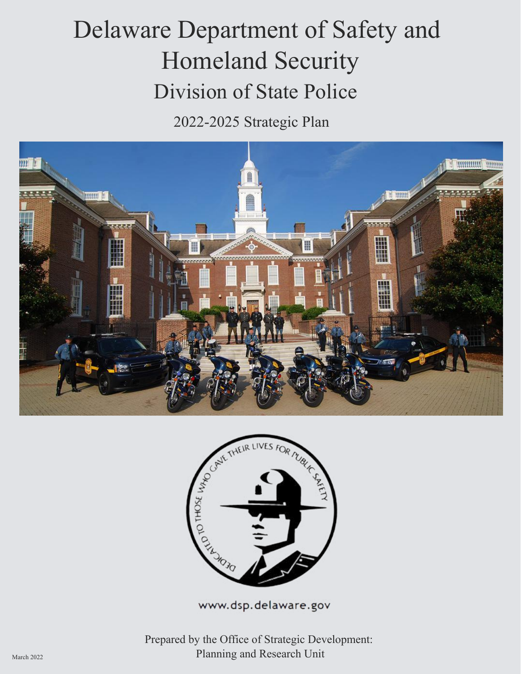# Delaware Department of Safety and Homeland Security Division of State Police

2022-2025 Strategic Plan





www.dsp.delaware.gov

Prepared by the Office of Strategic Development: March 2022 **Planning and Research Unit**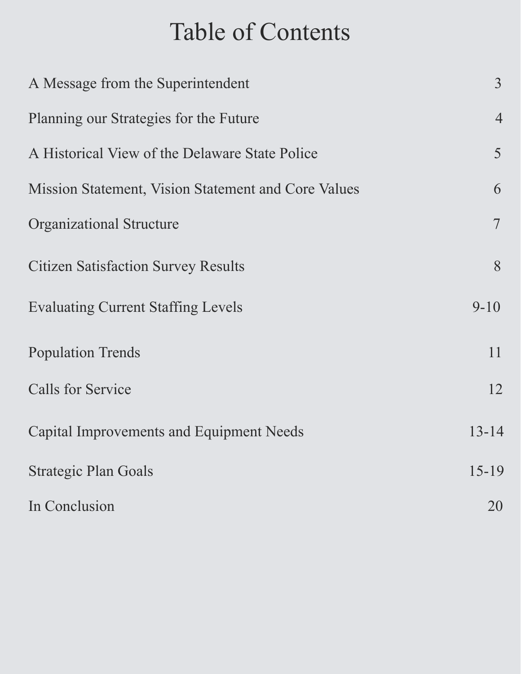# Table of Contents

| A Message from the Superintendent                   |                |  |
|-----------------------------------------------------|----------------|--|
| Planning our Strategies for the Future              | $\overline{4}$ |  |
| A Historical View of the Delaware State Police      | 5              |  |
| Mission Statement, Vision Statement and Core Values | 6              |  |
| <b>Organizational Structure</b>                     | $\overline{7}$ |  |
| <b>Citizen Satisfaction Survey Results</b>          | 8              |  |
| <b>Evaluating Current Staffing Levels</b>           | $9 - 10$       |  |
| <b>Population Trends</b>                            | 11             |  |
| <b>Calls for Service</b>                            | 12             |  |
| Capital Improvements and Equipment Needs            | $13 - 14$      |  |
| <b>Strategic Plan Goals</b>                         | $15 - 19$      |  |
| In Conclusion                                       | 20             |  |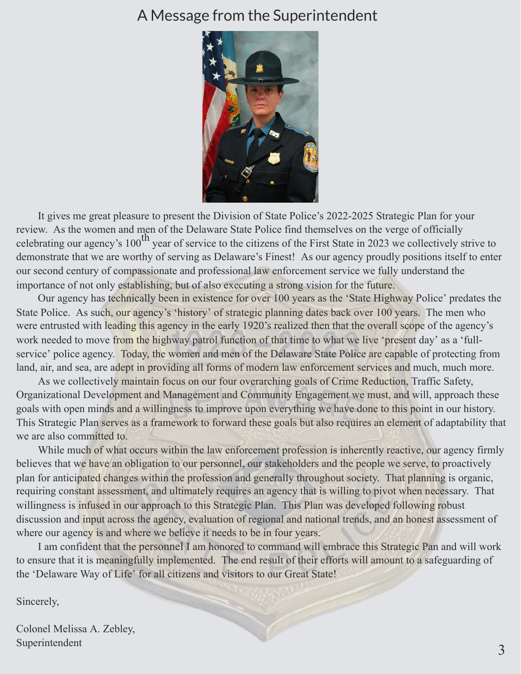#### A Message from the Superintendent



It gives me great pleasure to present the Division of State Police's 2022-2025 Strategic Plan for your review. As the women and men of the Delaware State Police find themselves on the verge of officially celebrating our agency's  $100^{th}$  year of service to the citizens of the First State in 2023 we collectively strive to demonstrate that we are worthy of serving as Delaware's Finest! As our agency proudly positions itself to enter our second century of compassionate and professional law enforcement service we fully understand the importance of not only establishing, but of also executing a strong vision for the future.

Our agency has technically been in existence for over 100 years as the 'State Highway Police' predates the State Police. As such, our agency's 'history' of strategic planning dates back over 100 years. The men who were entrusted with leading this agency in the early 1920's realized then that the overall scope of the agency's work needed to move from the highway patrol function of that time to what we live 'present day' as a 'fullservice' police agency. Today, the women and men of the Delaware State Police are capable of protecting from land, air, and sea, are adept in providing all forms of modern law enforcement services and much, much more.

As we collectively maintain focus on our four overarching goals of Crime Reduction, Traffic Safety, Organizational Development and Management and Community Engagement we must, and will, approach these goals with open minds and a willingness to improve upon everything we have done to this point in our history. This Strategic Plan serves as a framework to forward these goals but also requires an element of adaptability that we are also committed to.

While much of what occurs within the law enforcement profession is inherently reactive, our agency firmly believes that we have an obligation to our personnel, our stakeholders and the people we serve, to proactively plan for anticipated changes within the profession and generally throughout society. That planning is organic, requiring constant assessment, and ultimately requires an agency that is willing to pivot when necessary. That willingness is infused in our approach to this Strategic Plan. This Plan was developed following robust discussion and input across the agency, evaluation of regional and national trends, and an honest assessment of where our agency is and where we believe it needs to be in four years.

I am confident that the personnel I am honored to command will embrace this Strategic Pan and will work to ensure that it is meaningfully implemented. The end result of their efforts will amount to a safeguarding of the 'Delaware Way of Life' for all citizens and visitors to our Great State!

Sincerely,

Colonel Melissa A. Zebley, Superintendent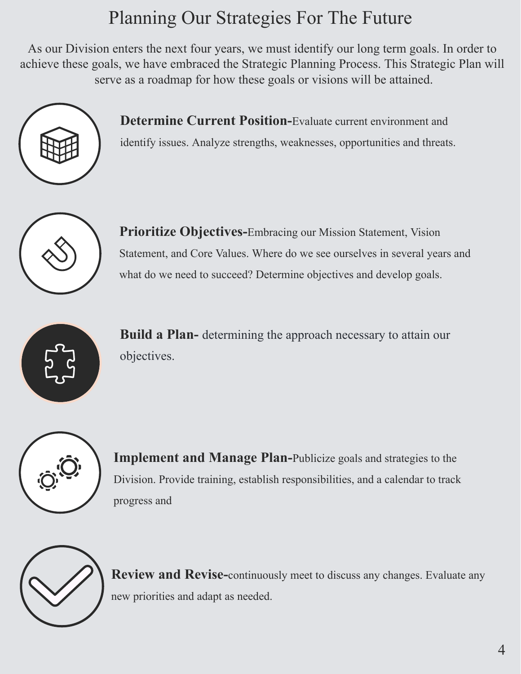# Planning Our Strategies For The Future

As our Division enters the next four years, we must identify our long term goals. In order to achieve these goals, we have embraced the Strategic Planning Process. This Strategic Plan will serve as a roadmap for how these goals or visions will be attained.



**Determine Current Position-**Evaluate current environment and

identify issues. Analyze strengths, weaknesses, opportunities and threats.



**Prioritize Objectives-**Embracing our Mission Statement, Vision Statement, and Core Values. Where do we see ourselves in several years and what do we need to succeed? Determine objectives and develop goals.



**Build a Plan-** determining the approach necessary to attain our objectives.



**Implement and Manage Plan-Publicize goals and strategies to the** Division. Provide training, establish responsibilities, and a calendar to track progress and



**Review and Revise-**continuously meet to discuss any changes. Evaluate any new priorities and adapt as needed.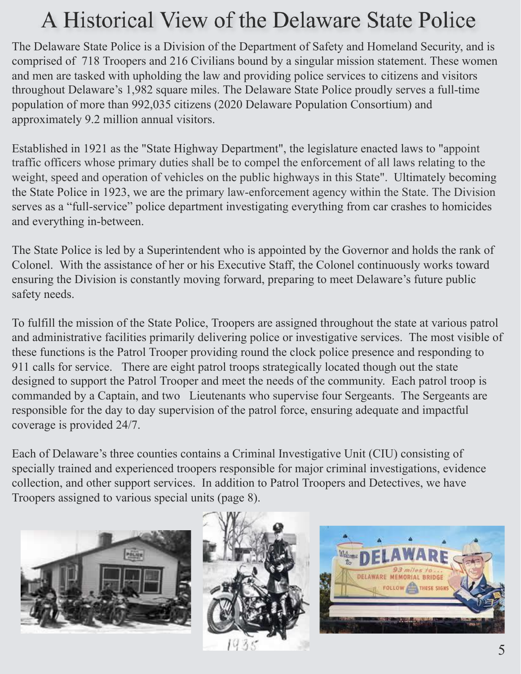# A Historical View of the Delaware State Police

The Delaware State Police is a Division of the Department of Safety and Homeland Security, and is comprised of 718 Troopers and 216 Civilians bound by a singular mission statement. These women and men are tasked with upholding the law and providing police services to citizens and visitors throughout Delaware's 1,982 square miles. The Delaware State Police proudly serves a full-time population of more than 992,035 citizens (2020 Delaware Population Consortium) and approximately 9.2 million annual visitors.

Established in 1921 as the "State Highway Department", the legislature enacted laws to "appoint traffic officers whose primary duties shall be to compel the enforcement of all laws relating to the weight, speed and operation of vehicles on the public highways in this State". Ultimately becoming the State Police in 1923, we are the primary law-enforcement agency within the State. The Division serves as a "full-service" police department investigating everything from car crashes to homicides and everything in-between.

The State Police is led by a Superintendent who is appointed by the Governor and holds the rank of Colonel. With the assistance of her or his Executive Staff, the Colonel continuously works toward ensuring the Division is constantly moving forward, preparing to meet Delaware's future public safety needs.

To fulfill the mission of the State Police, Troopers are assigned throughout the state at various patrol and administrative facilities primarily delivering police or investigative services. The most visible of these functions is the Patrol Trooper providing round the clock police presence and responding to 911 calls for service. There are eight patrol troops strategically located though out the state designed to support the Patrol Trooper and meet the needs of the community. Each patrol troop is commanded by a Captain, and two Lieutenants who supervise four Sergeants. The Sergeants are responsible for the day to day supervision of the patrol force, ensuring adequate and impactful coverage is provided 24/7.

Each of Delaware's three counties contains a Criminal Investigative Unit (CIU) consisting of specially trained and experienced troopers responsible for major criminal investigations, evidence collection, and other support services. In addition to Patrol Troopers and Detectives, we have Troopers assigned to various special units (page 8).





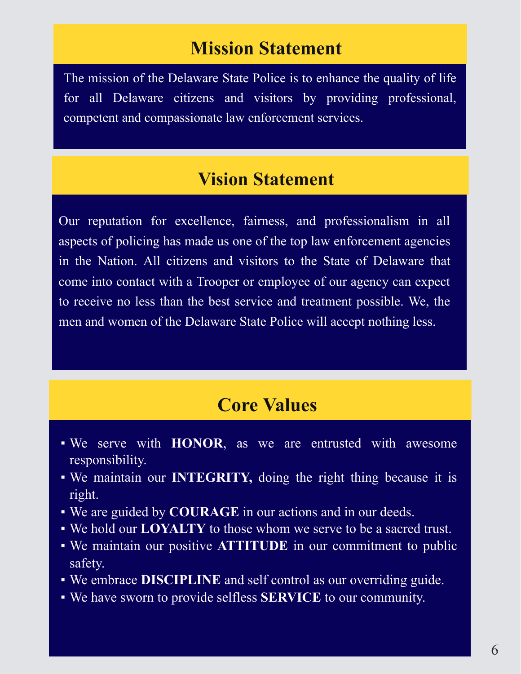#### **Mission Statement**

The mission of the Delaware State Police is to enhance the quality of life for all Delaware citizens and visitors by providing professional, competent and compassionate law enforcement services.

#### **Vision Statement**

Our reputation for excellence, fairness, and professionalism in all aspects of policing has made us one of the top law enforcement agencies in the Nation. All citizens and visitors to the State of Delaware that come into contact with a Trooper or employee of our agency can expect to receive no less than the best service and treatment possible. We, the men and women of the Delaware State Police will accept nothing less.

#### **Core Values**

- We serve with **HONOR**, as we are entrusted with awesome responsibility.
- We maintain our **INTEGRITY,** doing the right thing because it is right.
- We are guided by **COURAGE** in our actions and in our deeds.
- We hold our **LOYALTY** to those whom we serve to be a sacred trust.
- We maintain our positive **ATTITUDE** in our commitment to public safety.
- We embrace **DISCIPLINE** and self control as our overriding guide.
- We have sworn to provide selfless **SERVICE** to our community.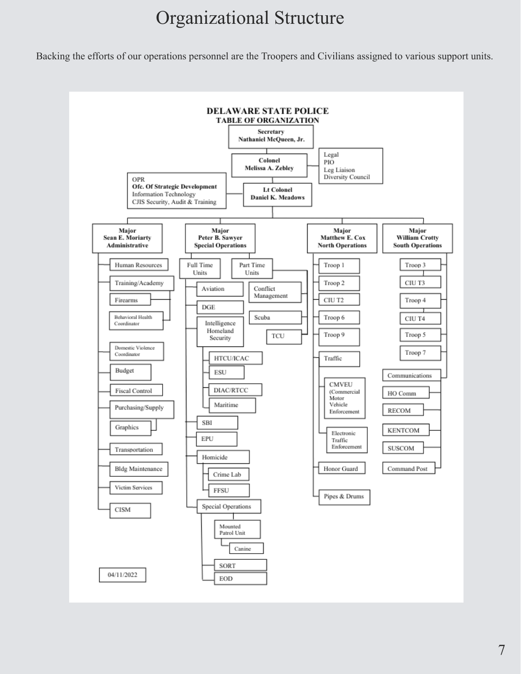### Organizational Structure

Backing the efforts of our operations personnel are the Troopers and Civilians assigned to various support units.

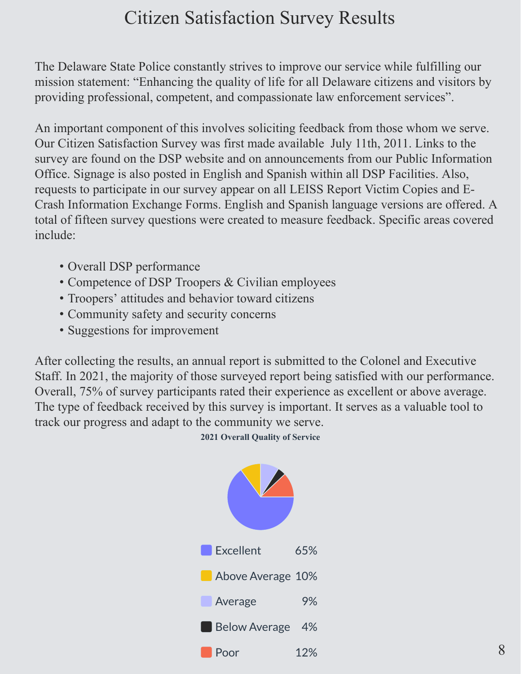### Citizen Satisfaction Survey Results

The Delaware State Police constantly strives to improve our service while fulfilling our mission statement: "Enhancing the quality of life for all Delaware citizens and visitors by providing professional, competent, and compassionate law enforcement services".

An important component of this involves soliciting feedback from those whom we serve. Our Citizen Satisfaction Survey was first made available July 11th, 2011. Links to the survey are found on the DSP website and on announcements from our Public Information Office. Signage is also posted in English and Spanish within all DSP Facilities. Also, requests to participate in our survey appear on all LEISS Report Victim Copies and E-Crash Information Exchange Forms. English and Spanish language versions are offered. A total of fifteen survey questions were created to measure feedback. Specific areas covered include:

- Overall DSP performance
- Competence of DSP Troopers & Civilian employees
- Troopers' attitudes and behavior toward citizens
- Community safety and security concerns
- Suggestions for improvement

After collecting the results, an annual report is submitted to the Colonel and Executive Staff. In 2021, the majority of those surveyed report being satisfied with our performance. Overall, 75% of survey participants rated their experience as excellent or above average. The type of feedback received by this survey is important. It serves as a valuable tool to track our progress and adapt to the community we serve.

**2021 Overall Quality of Service**

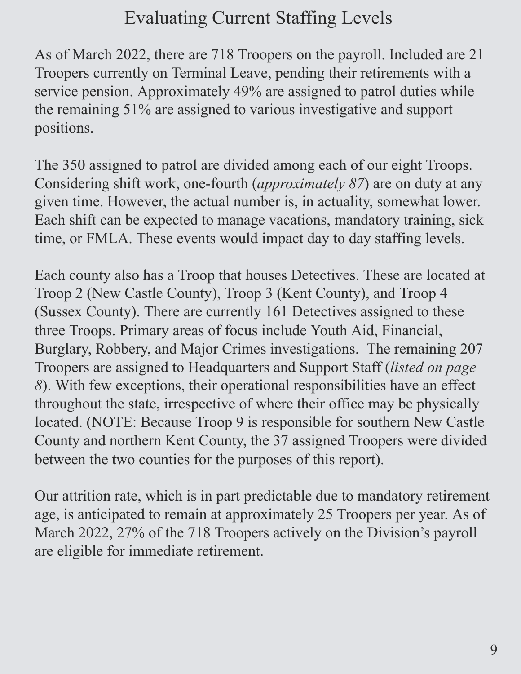## Evaluating Current Staffing Levels

As of March 2022, there are 718 Troopers on the payroll. Included are 21 Troopers currently on Terminal Leave, pending their retirements with a service pension. Approximately 49% are assigned to patrol duties while the remaining 51% are assigned to various investigative and support positions.

The 350 assigned to patrol are divided among each of our eight Troops. Considering shift work, one-fourth (*approximately 87*) are on duty at any given time. However, the actual number is, in actuality, somewhat lower. Each shift can be expected to manage vacations, mandatory training, sick time, or FMLA. These events would impact day to day staffing levels.

Each county also has a Troop that houses Detectives. These are located at Troop 2 (New Castle County), Troop 3 (Kent County), and Troop 4 (Sussex County). There are currently 161 Detectives assigned to these three Troops. Primary areas of focus include Youth Aid, Financial, Burglary, Robbery, and Major Crimes investigations. The remaining 207 Troopers are assigned to Headquarters and Support Staff (*listed on page 8*). With few exceptions, their operational responsibilities have an effect throughout the state, irrespective of where their office may be physically located. (NOTE: Because Troop 9 is responsible for southern New Castle County and northern Kent County, the 37 assigned Troopers were divided between the two counties for the purposes of this report).

Our attrition rate, which is in part predictable due to mandatory retirement age, is anticipated to remain at approximately 25 Troopers per year. As of March 2022, 27% of the 718 Troopers actively on the Division's payroll are eligible for immediate retirement.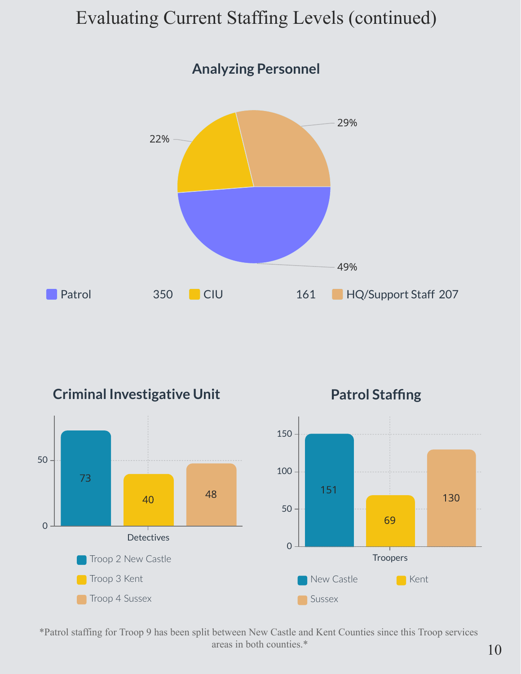### Evaluating Current Staffing Levels (continued)



**Criminal Investigative Unit**



**Patrol Staffing**



\*Patrol staffing for Troop 9 has been split between New Castle and Kent Counties since this Troop services areas in both counties.\*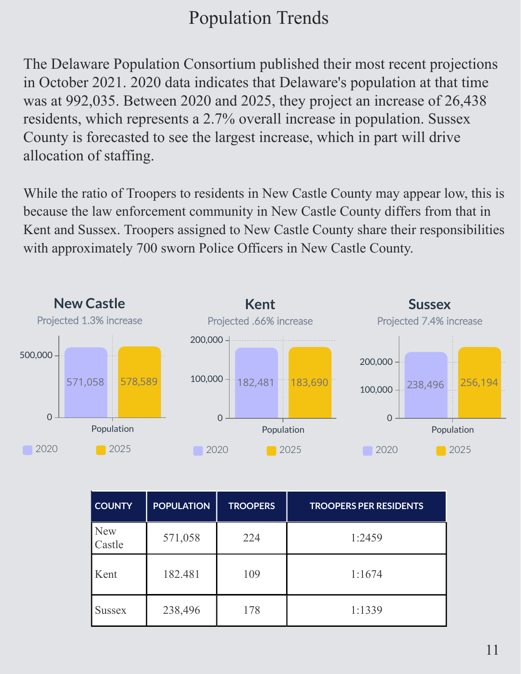## Population Trends

The Delaware Population Consortium published their most recent projections in October 2021. 2020 data indicates that Delaware's population at that time was at 992,035. Between 2020 and 2025, they project an increase of 26,438 residents, which represents a 2.7% overall increase in population. Sussex County is forecasted to see the largest increase, which in part will drive allocation of staffing.

While the ratio of Troopers to residents in New Castle County may appear low, this is because the law enforcement community in New Castle County differs from that in Kent and Sussex. Troopers assigned to New Castle County share their responsibilities with approximately 700 sworn Police Officers in New Castle County.



| <b>COUNTY</b>        | <b>POPULATION</b> | <b>TROOPERS</b> | <b>TROOPERS PER RESIDENTS</b> |
|----------------------|-------------------|-----------------|-------------------------------|
| <b>New</b><br>Castle | 571,058           | 224             | 1:2459                        |
| Kent                 | 182.481           | 109             | 1:1674                        |
| <b>Sussex</b>        | 238,496           | 178             | 1:1339                        |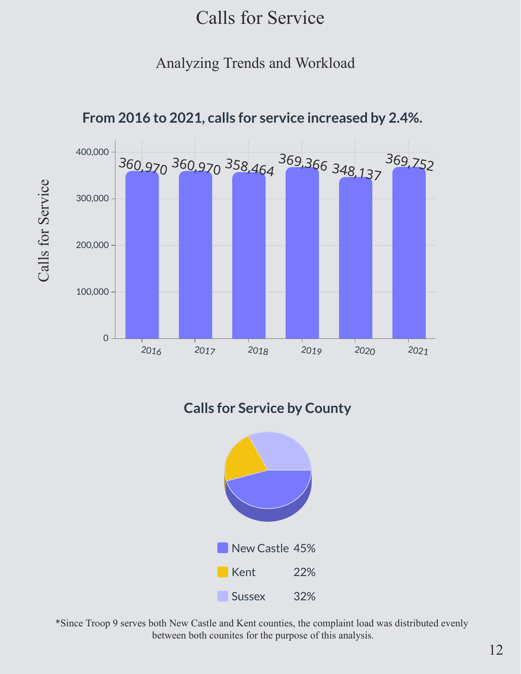#### Calls for Service

#### Analyzing Trends and Workload



**From 2016 to 2021, calls for service increased by 2.4%.**

**Calls for Service by County**



\*Since Troop 9 serves both New Castle and Kent counties, the complaint load was distributed evenly between both counites for the purpose of this analysis.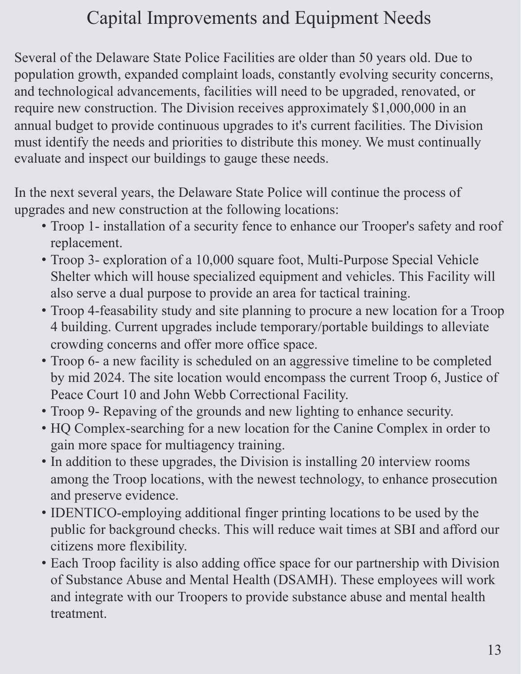## Capital Improvements and Equipment Needs

Several of the Delaware State Police Facilities are older than 50 years old. Due to population growth, expanded complaint loads, constantly evolving security concerns, and technological advancements, facilities will need to be upgraded, renovated, or require new construction. The Division receives approximately \$1,000,000 in an annual budget to provide continuous upgrades to it's current facilities. The Division must identify the needs and priorities to distribute this money. We must continually evaluate and inspect our buildings to gauge these needs.

In the next several years, the Delaware State Police will continue the process of upgrades and new construction at the following locations:

- Troop 1- installation of a security fence to enhance our Trooper's safety and roof replacement.
- Troop 3- exploration of a 10,000 square foot, Multi-Purpose Special Vehicle Shelter which will house specialized equipment and vehicles. This Facility will also serve a dual purpose to provide an area for tactical training.
- Troop 4-feasability study and site planning to procure a new location for a Troop 4 building. Current upgrades include temporary/portable buildings to alleviate crowding concerns and offer more office space.
- Troop 6- a new facility is scheduled on an aggressive timeline to be completed by mid 2024. The site location would encompass the current Troop 6, Justice of Peace Court 10 and John Webb Correctional Facility.
- Troop 9- Repaving of the grounds and new lighting to enhance security.
- HQ Complex-searching for a new location for the Canine Complex in order to gain more space for multiagency training.
- In addition to these upgrades, the Division is installing 20 interview rooms among the Troop locations, with the newest technology, to enhance prosecution and preserve evidence.
- IDENTICO-employing additional finger printing locations to be used by the public for background checks. This will reduce wait times at SBI and afford our citizens more flexibility.
- Each Troop facility is also adding office space for our partnership with Division of Substance Abuse and Mental Health (DSAMH). These employees will work and integrate with our Troopers to provide substance abuse and mental health treatment.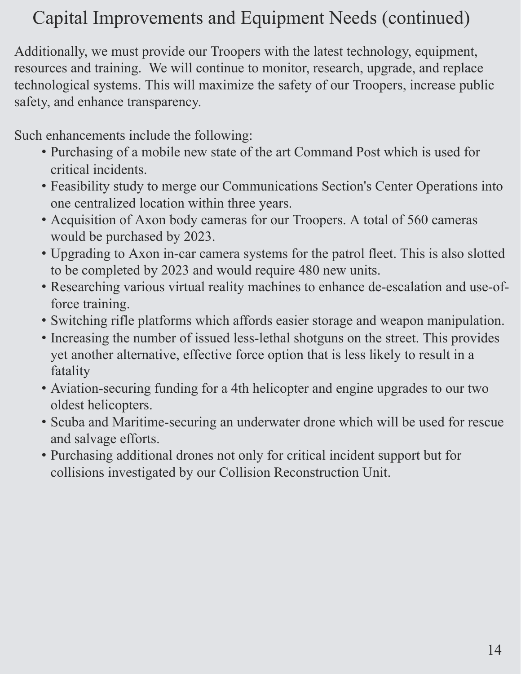# Capital Improvements and Equipment Needs (continued)

Additionally, we must provide our Troopers with the latest technology, equipment, resources and training. We will continue to monitor, research, upgrade, and replace technological systems. This will maximize the safety of our Troopers, increase public safety, and enhance transparency.

Such enhancements include the following:

- Purchasing of a mobile new state of the art Command Post which is used for critical incidents.
- Feasibility study to merge our Communications Section's Center Operations into one centralized location within three years.
- Acquisition of Axon body cameras for our Troopers. A total of 560 cameras would be purchased by 2023.
- Upgrading to Axon in-car camera systems for the patrol fleet. This is also slotted to be completed by 2023 and would require 480 new units.
- Researching various virtual reality machines to enhance de-escalation and use-offorce training.
- Switching rifle platforms which affords easier storage and weapon manipulation.
- Increasing the number of issued less-lethal shotguns on the street. This provides yet another alternative, effective force option that is less likely to result in a fatality
- Aviation-securing funding for a 4th helicopter and engine upgrades to our two oldest helicopters.
- Scuba and Maritime-securing an underwater drone which will be used for rescue and salvage efforts.
- Purchasing additional drones not only for critical incident support but for collisions investigated by our Collision Reconstruction Unit.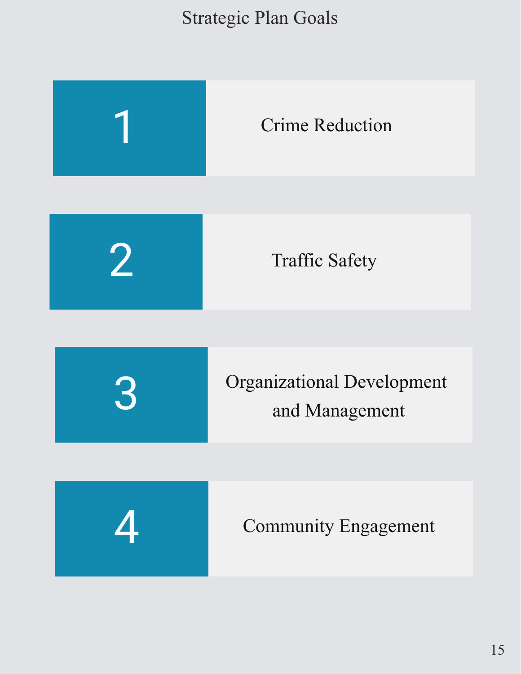### Strategic Plan Goals

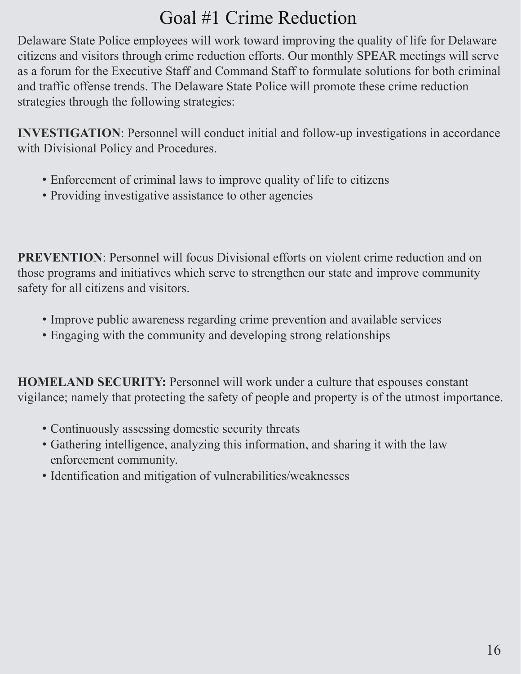### Goal #1 Crime Reduction

Delaware State Police employees will work toward improving the quality of life for Delaware citizens and visitors through crime reduction efforts. Our monthly SPEAR meetings will serve as a forum for the Executive Staff and Command Staff to formulate solutions for both criminal and traffic offense trends. The Delaware State Police will promote these crime reduction strategies through the following strategies:

**INVESTIGATION**: Personnel will conduct initial and follow-up investigations in accordance with Divisional Policy and Procedures.

- Enforcement of criminal laws to improve quality of life to citizens
- Providing investigative assistance to other agencies

**PREVENTION:** Personnel will focus Divisional efforts on violent crime reduction and on those programs and initiatives which serve to strengthen our state and improve community safety for all citizens and visitors.

- Improve public awareness regarding crime prevention and available services
- Engaging with the community and developing strong relationships

**HOMELAND SECURITY:** Personnel will work under a culture that espouses constant vigilance; namely that protecting the safety of people and property is of the utmost importance.

- Continuously assessing domestic security threats
- Gathering intelligence, analyzing this information, and sharing it with the law enforcement community.
- Identification and mitigation of vulnerabilities/weaknesses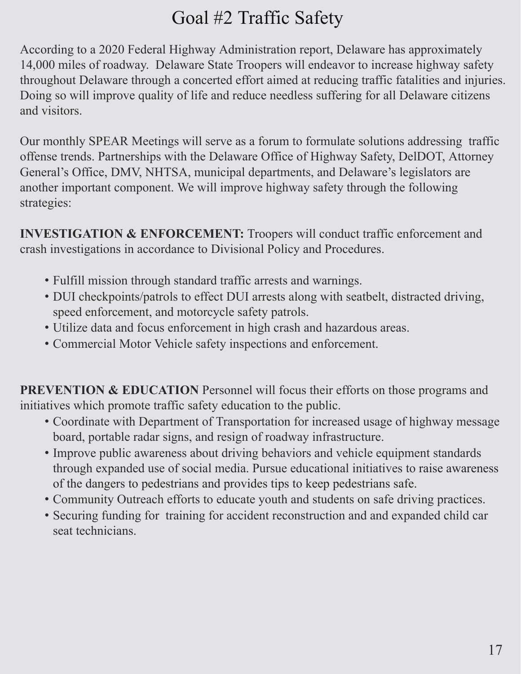## Goal #2 Traffic Safety

According to a 2020 Federal Highway Administration report, Delaware has approximately 14,000 miles of roadway. Delaware State Troopers will endeavor to increase highway safety throughout Delaware through a concerted effort aimed at reducing traffic fatalities and injuries. Doing so will improve quality of life and reduce needless suffering for all Delaware citizens and visitors.

Our monthly SPEAR Meetings will serve as a forum to formulate solutions addressing traffic offense trends. Partnerships with the Delaware Office of Highway Safety, DelDOT, Attorney General's Office, DMV, NHTSA, municipal departments, and Delaware's legislators are another important component. We will improve highway safety through the following strategies:

**INVESTIGATION & ENFORCEMENT:** Troopers will conduct traffic enforcement and crash investigations in accordance to Divisional Policy and Procedures.

- Fulfill mission through standard traffic arrests and warnings.
- DUI checkpoints/patrols to effect DUI arrests along with seatbelt, distracted driving, speed enforcement, and motorcycle safety patrols.
- Utilize data and focus enforcement in high crash and hazardous areas.
- Commercial Motor Vehicle safety inspections and enforcement.

**PREVENTION & EDUCATION** Personnel will focus their efforts on those programs and initiatives which promote traffic safety education to the public.

- Coordinate with Department of Transportation for increased usage of highway message board, portable radar signs, and resign of roadway infrastructure.
- Improve public awareness about driving behaviors and vehicle equipment standards through expanded use of social media. Pursue educational initiatives to raise awareness of the dangers to pedestrians and provides tips to keep pedestrians safe.
- Community Outreach efforts to educate youth and students on safe driving practices.
- Securing funding for training for accident reconstruction and and expanded child car seat technicians.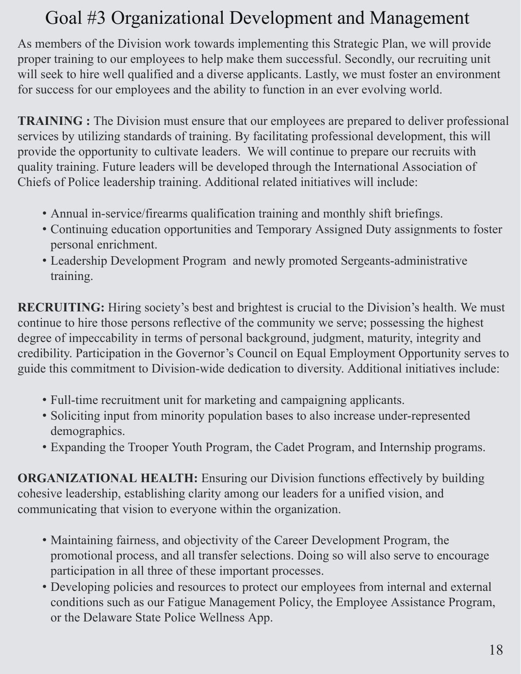## Goal #3 Organizational Development and Management

As members of the Division work towards implementing this Strategic Plan, we will provide proper training to our employees to help make them successful. Secondly, our recruiting unit will seek to hire well qualified and a diverse applicants. Lastly, we must foster an environment for success for our employees and the ability to function in an ever evolving world.

**TRAINING :** The Division must ensure that our employees are prepared to deliver professional services by utilizing standards of training. By facilitating professional development, this will provide the opportunity to cultivate leaders. We will continue to prepare our recruits with quality training. Future leaders will be developed through the International Association of Chiefs of Police leadership training. Additional related initiatives will include:

- Annual in-service/firearms qualification training and monthly shift briefings.
- Continuing education opportunities and Temporary Assigned Duty assignments to foster personal enrichment.
- Leadership Development Program and newly promoted Sergeants-administrative training.

**RECRUITING:** Hiring society's best and brightest is crucial to the Division's health. We must continue to hire those persons reflective of the community we serve; possessing the highest degree of impeccability in terms of personal background, judgment, maturity, integrity and credibility. Participation in the Governor's Council on Equal Employment Opportunity serves to guide this commitment to Division-wide dedication to diversity. Additional initiatives include:

- Full-time recruitment unit for marketing and campaigning applicants.
- Soliciting input from minority population bases to also increase under-represented demographics.
- Expanding the Trooper Youth Program, the Cadet Program, and Internship programs.

**ORGANIZATIONAL HEALTH:** Ensuring our Division functions effectively by building cohesive leadership, establishing clarity among our leaders for a unified vision, and communicating that vision to everyone within the organization.

- Maintaining fairness, and objectivity of the Career Development Program, the promotional process, and all transfer selections. Doing so will also serve to encourage participation in all three of these important processes.
- Developing policies and resources to protect our employees from internal and external conditions such as our Fatigue Management Policy, the Employee Assistance Program, or the Delaware State Police Wellness App.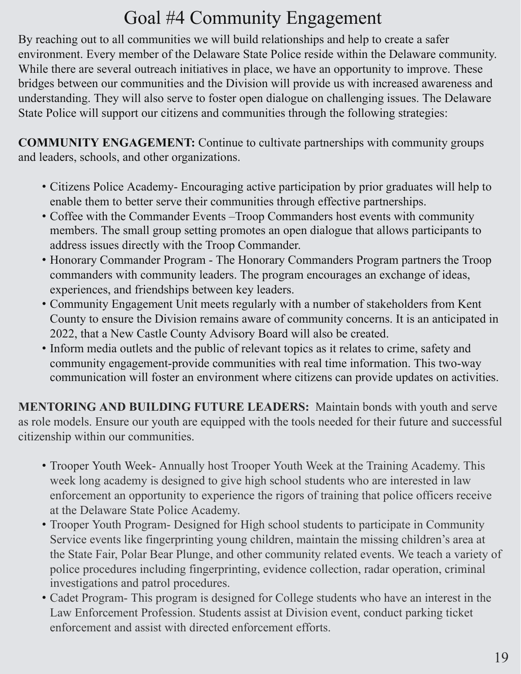# Goal #4 Community Engagement

By reaching out to all communities we will build relationships and help to create a safer environment. Every member of the Delaware State Police reside within the Delaware community. While there are several outreach initiatives in place, we have an opportunity to improve. These bridges between our communities and the Division will provide us with increased awareness and understanding. They will also serve to foster open dialogue on challenging issues. The Delaware State Police will support our citizens and communities through the following strategies:

**COMMUNITY ENGAGEMENT:** Continue to cultivate partnerships with community groups and leaders, schools, and other organizations.

- Citizens Police Academy- Encouraging active participation by prior graduates will help to enable them to better serve their communities through effective partnerships.
- Coffee with the Commander Events –Troop Commanders host events with community members. The small group setting promotes an open dialogue that allows participants to address issues directly with the Troop Commander.
- Honorary Commander Program The Honorary Commanders Program partners the Troop commanders with community leaders. The program encourages an exchange of ideas, experiences, and friendships between key leaders.
- Community Engagement Unit meets regularly with a number of stakeholders from Kent County to ensure the Division remains aware of community concerns. It is an anticipated in 2022, that a New Castle County Advisory Board will also be created.
- Inform media outlets and the public of relevant topics as it relates to crime, safety and community engagement-provide communities with real time information. This two-way communication will foster an environment where citizens can provide updates on activities.

**MENTORING AND BUILDING FUTURE LEADERS:** Maintain bonds with youth and serve as role models. Ensure our youth are equipped with the tools needed for their future and successful citizenship within our communities.

- Trooper Youth Week- Annually host Trooper Youth Week at the Training Academy. This week long academy is designed to give high school students who are interested in law enforcement an opportunity to experience the rigors of training that police officers receive at the Delaware State Police Academy.
- Trooper Youth Program- Designed for High school students to participate in Community Service events like fingerprinting young children, maintain the missing children's area at the State Fair, Polar Bear Plunge, and other community related events. We teach a variety of police procedures including fingerprinting, evidence collection, radar operation, criminal investigations and patrol procedures.
- Cadet Program- This program is designed for College students who have an interest in the Law Enforcement Profession. Students assist at Division event, conduct parking ticket enforcement and assist with directed enforcement efforts.